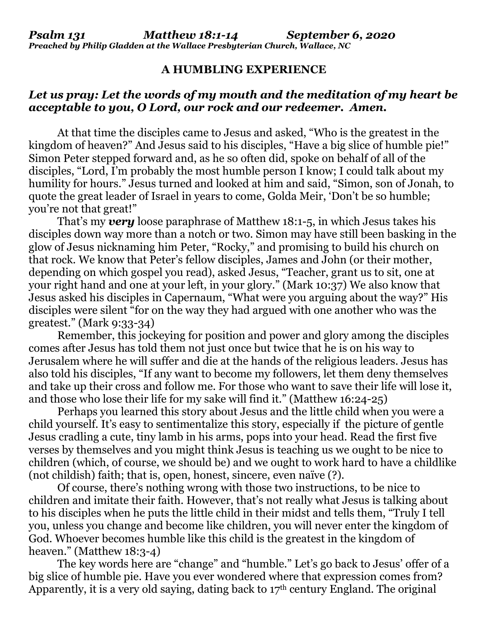## **A HUMBLING EXPERIENCE**

## *Let us pray: Let the words of my mouth and the meditation of my heart be acceptable to you, O Lord, our rock and our redeemer. Amen.*

At that time the disciples came to Jesus and asked, "Who is the greatest in the kingdom of heaven?" And Jesus said to his disciples, "Have a big slice of humble pie!" Simon Peter stepped forward and, as he so often did, spoke on behalf of all of the disciples, "Lord, I'm probably the most humble person I know; I could talk about my humility for hours." Jesus turned and looked at him and said, "Simon, son of Jonah, to quote the great leader of Israel in years to come, Golda Meir, 'Don't be so humble; you're not that great!"

That's my *very* loose paraphrase of Matthew 18:1-5, in which Jesus takes his disciples down way more than a notch or two. Simon may have still been basking in the glow of Jesus nicknaming him Peter, "Rocky," and promising to build his church on that rock. We know that Peter's fellow disciples, James and John (or their mother, depending on which gospel you read), asked Jesus, "Teacher, grant us to sit, one at your right hand and one at your left, in your glory." (Mark 10:37) We also know that Jesus asked his disciples in Capernaum, "What were you arguing about the way?" His disciples were silent "for on the way they had argued with one another who was the greatest." (Mark 9:33-34)

Remember, this jockeying for position and power and glory among the disciples comes after Jesus has told them not just once but twice that he is on his way to Jerusalem where he will suffer and die at the hands of the religious leaders. Jesus has also told his disciples, "If any want to become my followers, let them deny themselves and take up their cross and follow me. For those who want to save their life will lose it, and those who lose their life for my sake will find it." (Matthew 16:24-25)

Perhaps you learned this story about Jesus and the little child when you were a child yourself. It's easy to sentimentalize this story, especially if the picture of gentle Jesus cradling a cute, tiny lamb in his arms, pops into your head. Read the first five verses by themselves and you might think Jesus is teaching us we ought to be nice to children (which, of course, we should be) and we ought to work hard to have a childlike (not childish) faith; that is, open, honest, sincere, even naïve (?).

Of course, there's nothing wrong with those two instructions, to be nice to children and imitate their faith. However, that's not really what Jesus is talking about to his disciples when he puts the little child in their midst and tells them, "Truly I tell you, unless you change and become like children, you will never enter the kingdom of God. Whoever becomes humble like this child is the greatest in the kingdom of heaven." (Matthew 18:3-4)

The key words here are "change" and "humble." Let's go back to Jesus' offer of a big slice of humble pie. Have you ever wondered where that expression comes from? Apparently, it is a very old saying, dating back to  $17<sup>th</sup>$  century England. The original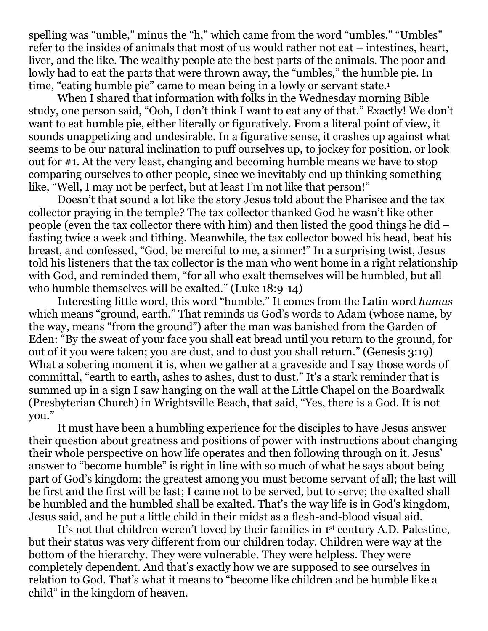spelling was "umble," minus the "h," which came from the word "umbles." "Umbles" refer to the insides of animals that most of us would rather not eat – intestines, heart, liver, and the like. The wealthy people ate the best parts of the animals. The poor and lowly had to eat the parts that were thrown away, the "umbles," the humble pie. In time, "eating humble pie" came to mean being in a lowly or servant state.<sup>1</sup>

When I shared that information with folks in the Wednesday morning Bible study, one person said, "Ooh, I don't think I want to eat any of that." Exactly! We don't want to eat humble pie, either literally or figuratively. From a literal point of view, it sounds unappetizing and undesirable. In a figurative sense, it crashes up against what seems to be our natural inclination to puff ourselves up, to jockey for position, or look out for #1. At the very least, changing and becoming humble means we have to stop comparing ourselves to other people, since we inevitably end up thinking something like, "Well, I may not be perfect, but at least I'm not like that person!"

Doesn't that sound a lot like the story Jesus told about the Pharisee and the tax collector praying in the temple? The tax collector thanked God he wasn't like other people (even the tax collector there with him) and then listed the good things he did – fasting twice a week and tithing. Meanwhile, the tax collector bowed his head, beat his breast, and confessed, "God, be merciful to me, a sinner!" In a surprising twist, Jesus told his listeners that the tax collector is the man who went home in a right relationship with God, and reminded them, "for all who exalt themselves will be humbled, but all who humble themselves will be exalted." (Luke 18:9-14)

Interesting little word, this word "humble." It comes from the Latin word *humus* which means "ground, earth." That reminds us God's words to Adam (whose name, by the way, means "from the ground") after the man was banished from the Garden of Eden: "By the sweat of your face you shall eat bread until you return to the ground, for out of it you were taken; you are dust, and to dust you shall return." (Genesis 3:19) What a sobering moment it is, when we gather at a graveside and I say those words of committal, "earth to earth, ashes to ashes, dust to dust." It's a stark reminder that is summed up in a sign I saw hanging on the wall at the Little Chapel on the Boardwalk (Presbyterian Church) in Wrightsville Beach, that said, "Yes, there is a God. It is not you."

It must have been a humbling experience for the disciples to have Jesus answer their question about greatness and positions of power with instructions about changing their whole perspective on how life operates and then following through on it. Jesus' answer to "become humble" is right in line with so much of what he says about being part of God's kingdom: the greatest among you must become servant of all; the last will be first and the first will be last; I came not to be served, but to serve; the exalted shall be humbled and the humbled shall be exalted. That's the way life is in God's kingdom, Jesus said, and he put a little child in their midst as a flesh-and-blood visual aid.

It's not that children weren't loved by their families in 1<sup>st</sup> century A.D. Palestine, but their status was very different from our children today. Children were way at the bottom of the hierarchy. They were vulnerable. They were helpless. They were completely dependent. And that's exactly how we are supposed to see ourselves in relation to God. That's what it means to "become like children and be humble like a child" in the kingdom of heaven.